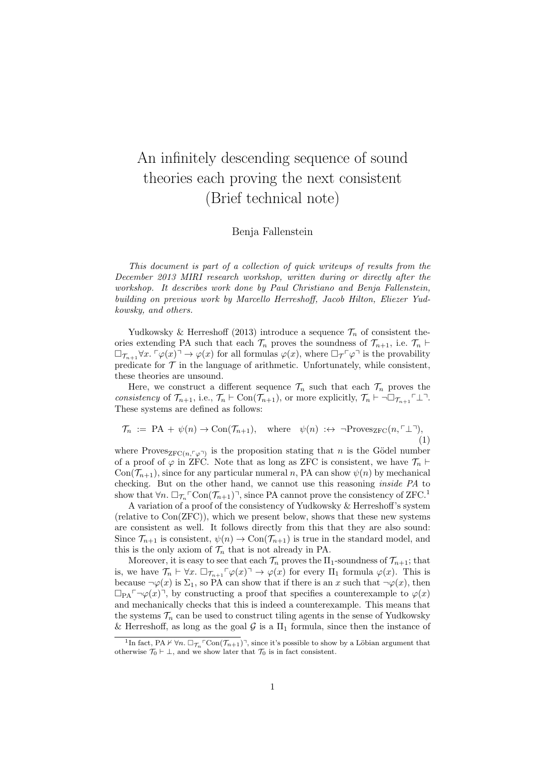## An infinitely descending sequence of sound theories each proving the next consistent (Brief technical note)

## Benja Fallenstein

This document is part of a collection of quick writeups of results from the December 2013 MIRI research workshop, written during or directly after the workshop. It describes work done by Paul Christiano and Benja Fallenstein, building on previous work by Marcello Herreshoff, Jacob Hilton, Eliezer Yudkowsky, and others.

Yudkowsky & Herreshoff (2013) introduce a sequence  $\mathcal{T}_n$  of consistent theories extending PA such that each  $\mathcal{T}_n$  proves the soundness of  $\mathcal{T}_{n+1}$ , i.e.  $\mathcal{T}_n$   $\vdash$  $\Box_{\mathcal{T}_{n+1}} \forall x. \ulcorner \varphi(x) \urcorner \rightarrow \varphi(x)$  for all formulas  $\varphi(x)$ , where  $\Box_{\mathcal{T}} \ulcorner \varphi \urcorner$  is the provability predicate for  $\mathcal T$  in the language of arithmetic. Unfortunately, while consistent, these theories are unsound.

Here, we construct a different sequence  $\mathcal{T}_n$  such that each  $\mathcal{T}_n$  proves the consistency of  $\mathcal{T}_{n+1}$ , i.e.,  $\mathcal{T}_n \vdash \text{Con}(\mathcal{T}_{n+1})$ , or more explicitly,  $\mathcal{T}_n \vdash \neg \Box_{\mathcal{T}_{n+1}} \ulcorner \bot \urcorner$ . These systems are defined as follows:

$$
\mathcal{T}_n := \text{PA} + \psi(n) \to \text{Con}(\mathcal{T}_{n+1}), \quad \text{where} \quad \psi(n) \; : \leftrightarrow \; \neg \text{Proves}_{\text{ZFC}}(n, \ulcorner \perp \urcorner), \tag{1}
$$

where Proves<sub>ZFC(n, $\ulcorner \varphi \urcorner$ )</sub> is the proposition stating that n is the Gödel number of a proof of  $\varphi$  in ZFC. Note that as long as ZFC is consistent, we have  $\mathcal{T}_n \vdash$  $Con(\mathcal{T}_{n+1})$ , since for any particular numeral n, PA can show  $\psi(n)$  by mechanical checking. But on the other hand, we cannot use this reasoning inside PA to show that  $\forall n. \Box_{\mathcal{T}_n} \Box \text{Con}(\mathcal{T}_{n+1})$ , since PA cannot prove the consistency of ZFC.<sup>1</sup>

A variation of a proof of the consistency of Yudkowsky & Herreshoff's system (relative to Con(ZFC)), which we present below, shows that these new systems are consistent as well. It follows directly from this that they are also sound: Since  $\mathcal{T}_{n+1}$  is consistent,  $\psi(n) \to \text{Con}(\mathcal{T}_{n+1})$  is true in the standard model, and this is the only axiom of  $\mathcal{T}_n$  that is not already in PA.

Moreover, it is easy to see that each  $\mathcal{T}_n$  proves the  $\Pi_1$ -soundness of  $\mathcal{T}_{n+1}$ ; that is, we have  $\mathcal{T}_n \vdash \forall x. \Box_{\mathcal{T}_{n+1}} \ulcorner \varphi(x) \urcorner \rightarrow \varphi(x)$  for every  $\Pi_1$  formula  $\varphi(x)$ . This is because  $\neg \varphi(x)$  is  $\Sigma_1$ , so PA can show that if there is an x such that  $\neg \varphi(x)$ , then  $\Box_{\text{PA}} \neg \varphi(x)$ , by constructing a proof that specifies a counterexample to  $\varphi(x)$ and mechanically checks that this is indeed a counterexample. This means that the systems  $\mathcal{T}_n$  can be used to construct tiling agents in the sense of Yudkowsky & Herreshoff, as long as the goal  $G$  is a  $\Pi_1$  formula, since then the instance of

<sup>&</sup>lt;sup>1</sup>In fact, PA  $\nvdash \forall n. \Box_{\mathcal{T}_n} \ulcorner \text{Con}(\mathcal{T}_{n+1}) \urcorner$ , since it's possible to show by a Löbian argument that otherwise  $\mathcal{T}_0 \vdash \bot$ , and we show later that  $\mathcal{T}_0$  is in fact consistent.